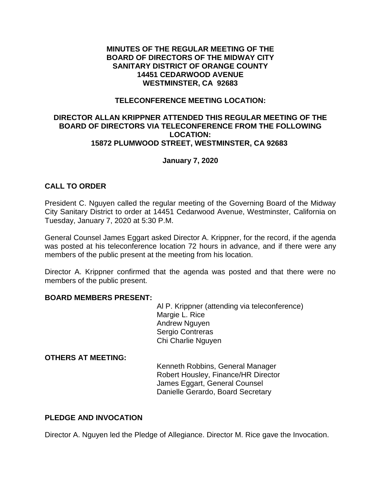### **MINUTES OF THE REGULAR MEETING OF THE BOARD OF DIRECTORS OF THE MIDWAY CITY SANITARY DISTRICT OF ORANGE COUNTY 14451 CEDARWOOD AVENUE WESTMINSTER, CA 92683**

## **TELECONFERENCE MEETING LOCATION:**

## **DIRECTOR ALLAN KRIPPNER ATTENDED THIS REGULAR MEETING OF THE BOARD OF DIRECTORS VIA TELECONFERENCE FROM THE FOLLOWING LOCATION: 15872 PLUMWOOD STREET, WESTMINSTER, CA 92683**

# **January 7, 2020**

# **CALL TO ORDER**

President C. Nguyen called the regular meeting of the Governing Board of the Midway City Sanitary District to order at 14451 Cedarwood Avenue, Westminster, California on Tuesday, January 7, 2020 at 5:30 P.M.

General Counsel James Eggart asked Director A. Krippner, for the record, if the agenda was posted at his teleconference location 72 hours in advance, and if there were any members of the public present at the meeting from his location.

Director A. Krippner confirmed that the agenda was posted and that there were no members of the public present.

#### **BOARD MEMBERS PRESENT:**

Al P. Krippner (attending via teleconference) Margie L. Rice Andrew Nguyen Sergio Contreras Chi Charlie Nguyen

#### **OTHERS AT MEETING:**

Kenneth Robbins, General Manager Robert Housley, Finance/HR Director James Eggart, General Counsel Danielle Gerardo, Board Secretary

# **PLEDGE AND INVOCATION**

Director A. Nguyen led the Pledge of Allegiance. Director M. Rice gave the Invocation.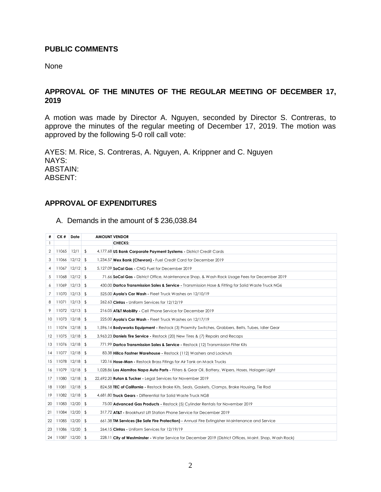#### **PUBLIC COMMENTS**

None

# **APPROVAL OF THE MINUTES OF THE REGULAR MEETING OF DECEMBER 17,**

A motion was made by Director A. Nguyen, seconded by Director S. Contreras, to approve the minutes of the regular meeting of December 17, 2019. The motion was approved by the following 5-0 roll call vote:

AYES: M. Rice, S. Contreras, A. Nguyen, A. Krippner and C. Nguyen NAYS: ABSTAIN: ABSENT:

# **APPROVAL OF EXPENDITURES**

A. Demands in the amount of \$ 236,038.84

| #  | CK #                    | Date | <b>AMOUNT VENDOR</b> |                                                                                                         |
|----|-------------------------|------|----------------------|---------------------------------------------------------------------------------------------------------|
| 1  |                         |      |                      | <b>CHECKS:</b>                                                                                          |
| 2  | 11065                   | 12/1 | \$                   | 4,177.68 US Bank Corporate Payment Systems - District Credit Cards                                      |
| 3  | $11066$ $12/12$ \$      |      |                      | 1,234.57 Wex Bank (Chevron) - Fuel Credit Card for December 2019                                        |
| 4  | $11067$ $12/12$ \$      |      |                      | 5,127.09 SoCal Gas - CNG Fuel for December 2019                                                         |
| 5  | $11068$ $12/12$ \$      |      |                      | 71.66 SoCal Gas - District Office, Maintenance Shop, & Wash Rack Usage Fees for December 2019           |
| 6  | $11069$ $12/13$ \$      |      |                      | 430.00 Dartco Transmission Sales & Service - Transmission Hose & Fitting for Solid Waste Truck NG6      |
| 7  | $11070$ $12/13$ \$      |      |                      | 525.00 Ayala's Car Wash - Fleet Truck Washes on 12/10/19                                                |
| 8  | $11071$ $12/13$ \$      |      |                      | 262.63 Cintas - Uniform Services for 12/12/19                                                           |
| 9  | $11072$ $12/13$ \$      |      |                      | 216.05 AT&T Mobility - Cell Phone Service for December 2019                                             |
| 10 | $11073$ $12/18$ \$      |      |                      | 225.00 Ayala's Car Wash - Fleet Truck Washes on 12/17/19                                                |
| Ħ  | $11074$ $12/18$ \$      |      |                      | 1,596.14 <b>Bodyworks Equipment -</b> Restock (3) Proxmity Switches, Grabbers, Belts, Tubes, Idler Gear |
| 12 | $11075$ $12/18$ \$      |      |                      | 3,963.23 Daniels Tire Service - Restock (20) New Tires & (7) Repairs and Recaps                         |
| 13 | $11076$ $12/18$ \$      |      |                      | 771.99 Dartco Transmission Sales & Service - Restock (12) Transmission Filter Kits                      |
| 14 | $11077$ $12/18$ \$      |      |                      | 83.38 Hillco Fastner Warehouse - Restock (112) Washers and Locknuts                                     |
| 15 | $11078$ $12/18$ \$      |      |                      | 120.16 <b>Hose-Man -</b> Restock Brass Fitings for Air Tank on Mack Trucks                              |
| 16 | $11079$ $12/18$ \$      |      |                      | 1,028.86 Los Alamitos Napa Auto Parts - Filters & Gear Oil, Battery, Wipers, Hoses, Halogen Light       |
| 17 | $11080$ $12/18$ \$      |      |                      | 22,692.20 Rutan & Tucker - Legal Services for November 2019                                             |
| 18 | $11081$ $12/18$ \$      |      |                      | 824.58 <b>TEC of California</b> - Restock Brake Kits, Seals, Gaskets, Clamps, Brake Housing, Tie Rod    |
| 19 | $11082$ $12/18$ \$      |      |                      | 4.681.80 <b>Truck Gears</b> - Differential for Solid Waste Truck NG8                                    |
| 20 | $11083$ $12/20$ \$      |      |                      | 75.00 <b>Advanced Gas Products -</b> Restock (5) Cylinder Rentals for November 2019                     |
| 21 | $11084$ $12/20$ \$      |      |                      | 317.72 AT&T - Brookhurst Lift Station Phone Service for December 2019                                   |
| 22 | $11085$ $12/20$ \$      |      |                      | 661.38 TM Services (Be Safe Fire Protection) - Annual Fire Extingisher Maintenance and Service          |
| 23 | $11086$ $12/20$ \$      |      |                      | 264.15 Cintas - Uniform Services for 12/19/19                                                           |
|    | 24   11087   12/20   \$ |      |                      | 228.11 City of Westminster - Water Service for December 2019 (District Offices, Maint. Shop, Wash Rack) |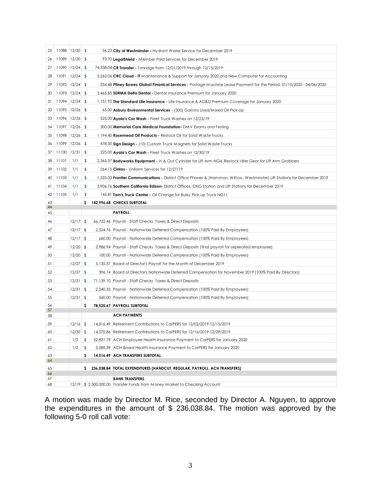| 25       | 11088 12/20 \$     |            |     | 56.23 City of Westminster - Hydrant Water Service for December 2019                                                              |
|----------|--------------------|------------|-----|----------------------------------------------------------------------------------------------------------------------------------|
| 26       | $11089$ $12/20$ \$ |            |     | 93.70 LegalShield - Member Paid Services for December 2019                                                                       |
| 27       | $11090$ $12/24$ \$ |            |     | 74,338.04 CR Transfer - Tonnage from 12/01/2019 through 12/15/2019                                                               |
| 28       | $11091$ $12/24$ \$ |            |     | 3,263.06 CRC Cloud - IT Maintenance & Support for January 2020 and New Computer for Accounting                                   |
| 29       | $11092$ $12/24$ \$ |            |     | 254.48 <b>Priney Bowes Global Finanical Services -</b> Postage Machine Lease Payment for the Period: 01/10/2020 - 04/06/2020     |
| 30       | $11093$ $12/24$ \$ |            |     | 3,465.85 SDRMA Delta Dental - Dental Insurance Premium for January 2020                                                          |
| 31       | $11094$ $12/24$ \$ |            |     | 1,151.92 The Standard Life Insurance - Life Insurance & AD&D Premium Coverage for January 2020                                   |
| 32       | $11095$ $12/26$ \$ |            |     | 65.00 Asbury Environmental Services - (300) Gallons Used/Mixed Oil Pick-Up                                                       |
| 33       | $11096$ $12/26$ \$ |            |     | 525.00 Ayala's Car Wash - Fleet Truck Washes on 12/23/19                                                                         |
| 34       | $11097$ $12/26$ \$ |            |     | 300.00 <b>Memorial Care Medical Foundation</b> - DMV Exams and Testing                                                           |
| 35       | $11098$ $12/26$ \$ |            |     | 1,194.40 <b>Rosemead Oil Products -</b> Restock Oil for Solid Waste Trucks                                                       |
| 36       | $11099$ $12/26$ \$ |            |     | 478.50 <b>Sign Design -</b> (10) Custom Truck Magnets for Solid Waste Trucks                                                     |
| 37       | $11100$ $12/31$ \$ |            |     | 225.00 Ayala's Car Wash - Fleet Truck Washes on 12/30/19                                                                         |
| 38       | 11101              | 1/1        | \$  | 2,365.37 <b>Bodyworks Equipment -</b> In & Out Cylinder for Lift Arm NG4, Restock Idler Gear for Lift Arm Grabbers               |
| 39       | 11102              | 1/1        | \$  | 264.15 Cintas - Uniform Services for 12/27/19                                                                                    |
| 40       | 11103              | 1/1        | \$  | 1,325.03 <b>Frontier Communications</b> - District Office Phones & (Hammon, Willow, Westminster) Lift Stations for December 2019 |
| 41       | 11104              | 1/1        | \$  | 3,906.76 Southern California Edison-District Offices, CNG Station and Lift Stations for December 2019                            |
| 42       | 11105              | 1/1        | \$  | 145.81 Tom's Truck Center - Oil Change for Bulky Pick-up Truck NG11                                                              |
| 43       |                    |            | \$. | 142,996.68 CHECKS SUBTOTAL                                                                                                       |
| 44<br>45 |                    |            |     | <b>PAYROLL</b>                                                                                                                   |
| 46       |                    | $12/17$ \$ |     | 66,722.46 Payroll - Staff Checks Taxes & Direct Deposits                                                                         |
| 47       |                    | $12/17$ \$ |     | 2,524.76 Payroll - Nationwide Deferred Compensation (100% Paid By Employees)                                                     |
| 48       |                    | $12/17$ \$ |     | 660.00 Payroll - Nationwide Deferred Compensation (100% Paid By Employees)                                                       |
| 49       |                    | $12/20$ \$ |     | 2,986.94 Payroll - Staff Checks Taxes & Direct Deposits (final payroll for seperated employee)                                   |
| 50       |                    | $12/20$ \$ |     | 100.00 Payroll - Nationwide Deferred Compensation (100% Paid By Employees)                                                       |
| 51       |                    | $12/27$ \$ |     | 5,135.37 Board of Director's Payroll for the Month of December 2019                                                              |
| 52       |                    | $12/27$ \$ |     | 396.14 Board of Director's Nationwide Deferred Compensation for November 2019 (100% Paid By Directors)                           |
| 53       |                    | $12/31$ \$ |     | 71,139.10 Payroll - Staff Checks Taxes & Direct Deposits                                                                         |
| 54       |                    | $12/31$ \$ |     | 2,540.35 Payroll - Nationwide Deferred Compensation (100% Paid By Employees)                                                     |
| 55       |                    | $12/31$ \$ |     | 560.00 Payroll - Nationwide Deferred Compensation (100% Paid By Employees)                                                       |
| 56<br>57 |                    |            | \$  | 78,525.67 PAYROLL SUBTOTAL                                                                                                       |
| 58       |                    |            |     | <b>ACH PAYMENTS</b>                                                                                                              |
| 59       |                    | $12/16$ \$ |     | 14,516.49 Retirement Contributions to CalPERS for 12/02/2019-12/15/2019                                                          |
| 60       |                    | $12/30$ \$ |     | 14,570.86 Retirement Contributions to CalPERS for 12/16/2019-12/29/2019                                                          |
| 61       |                    | $1/2$ \$   |     | 52,831.79 ACH Employee Health Insurance Payment to CalPERS for January 2020                                                      |
| 62       |                    | $1/2$ \$   |     | 5,585.39 ACH Board Health Insurance Payment to CalPERS for January 2020                                                          |
| 63<br>64 |                    |            | \$  | 14,516.49 ACH TRANSFERS SUBTOTAL                                                                                                 |
| 65       |                    |            | Ş.  | 236,038.84 TOTAL EXPENDITURES (HANDCUT, REGULAR, PAYROLL, ACH TRANSFERS)                                                         |
| 66       |                    |            |     |                                                                                                                                  |
| 67<br>68 |                    |            |     | <b>BANK TRANSFERS</b><br>12/19 \$ 2,500,000.00 Transfer Funds from Money Market to Checking Account                              |

A motion was made by Director M. Rice, seconded by Director A. Nguyen, to approve the expenditures in the amount of \$ 236,038.84. The motion was approved by the following 5-0 roll call vote: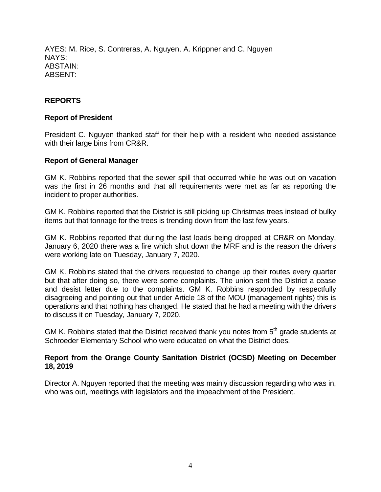AYES: M. Rice, S. Contreras, A. Nguyen, A. Krippner and C. Nguyen NAYS: ABSTAIN: ABSENT:

# **REPORTS**

## **Report of President**

President C. Nguyen thanked staff for their help with a resident who needed assistance with their large bins from CR&R.

#### **Report of General Manager**

GM K. Robbins reported that the sewer spill that occurred while he was out on vacation was the first in 26 months and that all requirements were met as far as reporting the incident to proper authorities.

GM K. Robbins reported that the District is still picking up Christmas trees instead of bulky items but that tonnage for the trees is trending down from the last few years.

GM K. Robbins reported that during the last loads being dropped at CR&R on Monday, January 6, 2020 there was a fire which shut down the MRF and is the reason the drivers were working late on Tuesday, January 7, 2020.

GM K. Robbins stated that the drivers requested to change up their routes every quarter but that after doing so, there were some complaints. The union sent the District a cease and desist letter due to the complaints. GM K. Robbins responded by respectfully disagreeing and pointing out that under Article 18 of the MOU (management rights) this is operations and that nothing has changed. He stated that he had a meeting with the drivers to discuss it on Tuesday, January 7, 2020.

GM K. Robbins stated that the District received thank you notes from  $5<sup>th</sup>$  grade students at Schroeder Elementary School who were educated on what the District does.

### **Report from the Orange County Sanitation District (OCSD) Meeting on December 18, 2019**

Director A. Nguyen reported that the meeting was mainly discussion regarding who was in, who was out, meetings with legislators and the impeachment of the President.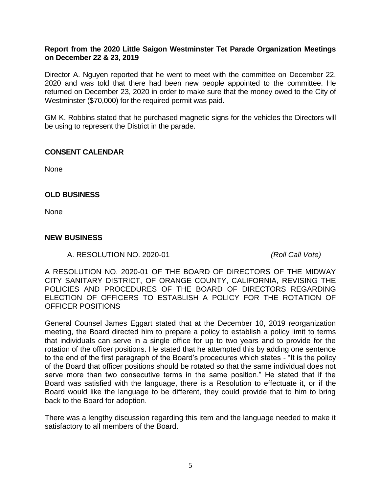# **Report from the 2020 Little Saigon Westminster Tet Parade Organization Meetings on December 22 & 23, 2019**

Director A. Nguyen reported that he went to meet with the committee on December 22, 2020 and was told that there had been new people appointed to the committee. He returned on December 23, 2020 in order to make sure that the money owed to the City of Westminster (\$70,000) for the required permit was paid.

GM K. Robbins stated that he purchased magnetic signs for the vehicles the Directors will be using to represent the District in the parade.

### **CONSENT CALENDAR**

None

### **OLD BUSINESS**

None

### **NEW BUSINESS**

A. RESOLUTION NO. 2020-01 *(Roll Call Vote)*

A RESOLUTION NO. 2020-01 OF THE BOARD OF DIRECTORS OF THE MIDWAY CITY SANITARY DISTRICT, OF ORANGE COUNTY, CALIFORNIA, REVISING THE POLICIES AND PROCEDURES OF THE BOARD OF DIRECTORS REGARDING ELECTION OF OFFICERS TO ESTABLISH A POLICY FOR THE ROTATION OF OFFICER POSITIONS

General Counsel James Eggart stated that at the December 10, 2019 reorganization meeting, the Board directed him to prepare a policy to establish a policy limit to terms that individuals can serve in a single office for up to two years and to provide for the rotation of the officer positions. He stated that he attempted this by adding one sentence to the end of the first paragraph of the Board's procedures which states - "It is the policy of the Board that officer positions should be rotated so that the same individual does not serve more than two consecutive terms in the same position." He stated that if the Board was satisfied with the language, there is a Resolution to effectuate it, or if the Board would like the language to be different, they could provide that to him to bring back to the Board for adoption.

There was a lengthy discussion regarding this item and the language needed to make it satisfactory to all members of the Board.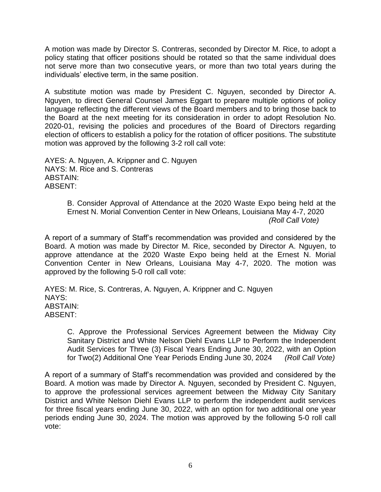A motion was made by Director S. Contreras, seconded by Director M. Rice, to adopt a policy stating that officer positions should be rotated so that the same individual does not serve more than two consecutive years, or more than two total years during the individuals' elective term, in the same position.

A substitute motion was made by President C. Nguyen, seconded by Director A. Nguyen, to direct General Counsel James Eggart to prepare multiple options of policy language reflecting the different views of the Board members and to bring those back to the Board at the next meeting for its consideration in order to adopt Resolution No. 2020-01, revising the policies and procedures of the Board of Directors regarding election of officers to establish a policy for the rotation of officer positions. The substitute motion was approved by the following 3-2 roll call vote:

AYES: A. Nguyen, A. Krippner and C. Nguyen NAYS: M. Rice and S. Contreras ABSTAIN: ABSENT:

> B. Consider Approval of Attendance at the 2020 Waste Expo being held at the Ernest N. Morial Convention Center in New Orleans, Louisiana May 4-7, 2020 *(Roll Call Vote)*

A report of a summary of Staff's recommendation was provided and considered by the Board. A motion was made by Director M. Rice, seconded by Director A. Nguyen, to approve attendance at the 2020 Waste Expo being held at the Ernest N. Morial Convention Center in New Orleans, Louisiana May 4-7, 2020. The motion was approved by the following 5-0 roll call vote:

AYES: M. Rice, S. Contreras, A. Nguyen, A. Krippner and C. Nguyen NAYS: ABSTAIN: ABSENT:

C. Approve the Professional Services Agreement between the Midway City Sanitary District and White Nelson Diehl Evans LLP to Perform the Independent Audit Services for Three (3) Fiscal Years Ending June 30, 2022, with an Option for Two(2) Additional One Year Periods Ending June 30, 2024 *(Roll Call Vote)*

A report of a summary of Staff's recommendation was provided and considered by the Board. A motion was made by Director A. Nguyen, seconded by President C. Nguyen, to approve the professional services agreement between the Midway City Sanitary District and White Nelson Diehl Evans LLP to perform the independent audit services for three fiscal years ending June 30, 2022, with an option for two additional one year periods ending June 30, 2024. The motion was approved by the following 5-0 roll call vote: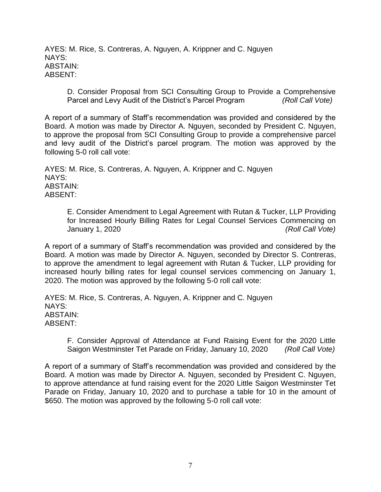AYES: M. Rice, S. Contreras, A. Nguyen, A. Krippner and C. Nguyen NAYS: ABSTAIN: ABSENT:

D. Consider Proposal from SCI Consulting Group to Provide a Comprehensive Parcel and Levy Audit of the District's Parcel Program *(Roll Call Vote)*

A report of a summary of Staff's recommendation was provided and considered by the Board. A motion was made by Director A. Nguyen, seconded by President C. Nguyen, to approve the proposal from SCI Consulting Group to provide a comprehensive parcel and levy audit of the District's parcel program. The motion was approved by the following 5-0 roll call vote:

AYES: M. Rice, S. Contreras, A. Nguyen, A. Krippner and C. Nguyen NAYS: ABSTAIN: ABSENT:

E. Consider Amendment to Legal Agreement with Rutan & Tucker, LLP Providing for Increased Hourly Billing Rates for Legal Counsel Services Commencing on January 1, 2020 *(Roll Call Vote)*

A report of a summary of Staff's recommendation was provided and considered by the Board. A motion was made by Director A. Nguyen, seconded by Director S. Contreras, to approve the amendment to legal agreement with Rutan & Tucker, LLP providing for increased hourly billing rates for legal counsel services commencing on January 1, 2020. The motion was approved by the following 5-0 roll call vote:

AYES: M. Rice, S. Contreras, A. Nguyen, A. Krippner and C. Nguyen NAYS: ABSTAIN: ABSENT:

F. Consider Approval of Attendance at Fund Raising Event for the 2020 Little Saigon Westminster Tet Parade on Friday, January 10, 2020 *(Roll Call Vote)*

A report of a summary of Staff's recommendation was provided and considered by the Board. A motion was made by Director A. Nguyen, seconded by President C. Nguyen, to approve attendance at fund raising event for the 2020 Little Saigon Westminster Tet Parade on Friday, January 10, 2020 and to purchase a table for 10 in the amount of \$650. The motion was approved by the following 5-0 roll call vote: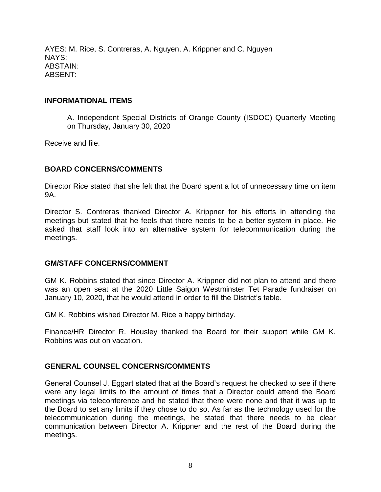AYES: M. Rice, S. Contreras, A. Nguyen, A. Krippner and C. Nguyen NAYS: ABSTAIN: ABSENT:

## **INFORMATIONAL ITEMS**

A. Independent Special Districts of Orange County (ISDOC) Quarterly Meeting on Thursday, January 30, 2020

Receive and file.

### **BOARD CONCERNS/COMMENTS**

Director Rice stated that she felt that the Board spent a lot of unnecessary time on item 9A.

Director S. Contreras thanked Director A. Krippner for his efforts in attending the meetings but stated that he feels that there needs to be a better system in place. He asked that staff look into an alternative system for telecommunication during the meetings.

#### **GM/STAFF CONCERNS/COMMENT**

GM K. Robbins stated that since Director A. Krippner did not plan to attend and there was an open seat at the 2020 Little Saigon Westminster Tet Parade fundraiser on January 10, 2020, that he would attend in order to fill the District's table.

GM K. Robbins wished Director M. Rice a happy birthday.

Finance/HR Director R. Housley thanked the Board for their support while GM K. Robbins was out on vacation.

# **GENERAL COUNSEL CONCERNS/COMMENTS**

General Counsel J. Eggart stated that at the Board's request he checked to see if there were any legal limits to the amount of times that a Director could attend the Board meetings via teleconference and he stated that there were none and that it was up to the Board to set any limits if they chose to do so. As far as the technology used for the telecommunication during the meetings, he stated that there needs to be clear communication between Director A. Krippner and the rest of the Board during the meetings.